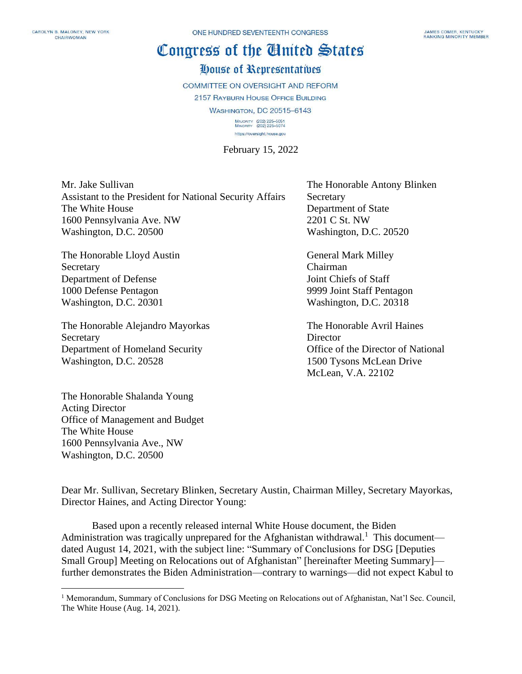## Congress of the Cluited States House of Representatives

COMMITTEE ON OVERSIGHT AND REFORM

2157 RAYBURN HOUSE OFFICE BUILDING

**WASHINGTON, DC 20515-6143** MAJORITY (202) 225-5051<br>MINORITY (202) 225-5074

https://oversight.house.gov

February 15, 2022

Mr. Jake Sullivan The Honorable Antony Blinken Assistant to the President for National Security Affairs Secretary The White House Department of State 1600 Pennsylvania Ave. NW 2201 C St. NW Washington, D.C. 20500 Washington, D.C. 20520

The Honorable Lloyd Austin **General Mark Milley** Secretary Chairman Department of Defense Joint Chiefs of Staff 1000 Defense Pentagon 9999 Joint Staff Pentagon Washington, D.C. 20301 Washington, D.C. 20318

The Honorable Alejandro Mayorkas The Honorable Avril Haines Secretary Director Department of Homeland Security **Office of the Director of National** Washington, D.C. 20528 1500 Tysons McLean Drive

McLean, V.A. 22102

The Honorable Shalanda Young Acting Director Office of Management and Budget The White House 1600 Pennsylvania Ave., NW Washington, D.C. 20500

Dear Mr. Sullivan, Secretary Blinken, Secretary Austin, Chairman Milley, Secretary Mayorkas, Director Haines, and Acting Director Young:

Based upon a recently released internal White House document, the Biden Administration was tragically unprepared for the Afghanistan withdrawal.<sup>1</sup> This document dated August 14, 2021, with the subject line: "Summary of Conclusions for DSG [Deputies Small Group] Meeting on Relocations out of Afghanistan" [hereinafter Meeting Summary] further demonstrates the Biden Administration—contrary to warnings—did not expect Kabul to

<sup>&</sup>lt;sup>1</sup> Memorandum, Summary of Conclusions for DSG Meeting on Relocations out of Afghanistan, Nat'l Sec. Council, The White House (Aug. 14, 2021).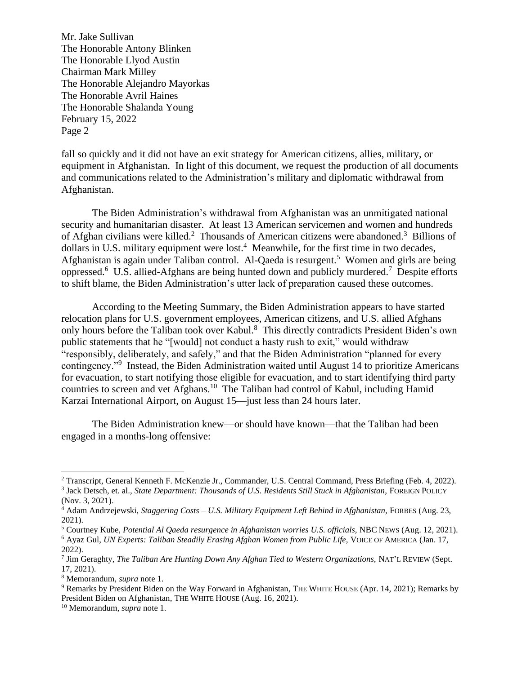Mr. Jake Sullivan The Honorable Antony Blinken The Honorable Llyod Austin Chairman Mark Milley The Honorable Alejandro Mayorkas The Honorable Avril Haines The Honorable Shalanda Young February 15, 2022 Page 2

fall so quickly and it did not have an exit strategy for American citizens, allies, military, or equipment in Afghanistan. In light of this document, we request the production of all documents and communications related to the Administration's military and diplomatic withdrawal from Afghanistan.

The Biden Administration's withdrawal from Afghanistan was an unmitigated national security and humanitarian disaster. At least 13 American servicemen and women and hundreds of Afghan civilians were killed. <sup>2</sup> Thousands of American citizens were abandoned. <sup>3</sup> Billions of dollars in U.S. military equipment were lost. <sup>4</sup> Meanwhile, for the first time in two decades, Afghanistan is again under Taliban control. Al-Qaeda is resurgent.<sup>5</sup> Women and girls are being oppressed.<sup>6</sup> U.S. allied-Afghans are being hunted down and publicly murdered.<sup>7</sup> Despite efforts to shift blame, the Biden Administration's utter lack of preparation caused these outcomes.

According to the Meeting Summary, the Biden Administration appears to have started relocation plans for U.S. government employees, American citizens, and U.S. allied Afghans only hours before the Taliban took over Kabul.<sup>8</sup> This directly contradicts President Biden's own public statements that he "[would] not conduct a hasty rush to exit," would withdraw "responsibly, deliberately, and safely," and that the Biden Administration "planned for every contingency."<sup>9</sup> Instead, the Biden Administration waited until August 14 to prioritize Americans for evacuation, to start notifying those eligible for evacuation, and to start identifying third party countries to screen and vet Afghans.<sup>10</sup> The Taliban had control of Kabul, including Hamid Karzai International Airport, on August 15—just less than 24 hours later.

The Biden Administration knew—or should have known—that the Taliban had been engaged in a months-long offensive:

<sup>&</sup>lt;sup>2</sup> Transcript, General Kenneth F. McKenzie Jr., Commander, U.S. Central Command, Press Briefing (Feb. 4, 2022).

<sup>&</sup>lt;sup>3</sup> Jack Detsch, et. al., *State Department: Thousands of U.S. Residents Still Stuck in Afghanistan*, FOREIGN POLICY (Nov. 3, 2021).

<sup>4</sup> Adam Andrzejewski, *Staggering Costs – U.S. Military Equipment Left Behind in Afghanistan,* FORBES (Aug. 23, 2021).

<sup>5</sup> Courtney Kube, *Potential Al Qaeda resurgence in Afghanistan worries U.S. officials,* NBC NEWS (Aug. 12, 2021). <sup>6</sup> Ayaz Gul, *UN Experts: Taliban Steadily Erasing Afghan Women from Public Life,* VOICE OF AMERICA (Jan. 17, 2022).

<sup>7</sup> Jim Geraghty, *The Taliban Are Hunting Down Any Afghan Tied to Western Organizations,* NAT'L REVIEW (Sept. 17, 2021).

<sup>8</sup> Memorandum, *supra* note 1.

<sup>9</sup> Remarks by President Biden on the Way Forward in Afghanistan, THE WHITE HOUSE (Apr. 14, 2021); Remarks by President Biden on Afghanistan, THE WHITE HOUSE (Aug. 16, 2021).

<sup>10</sup> Memorandum, *supra* note 1.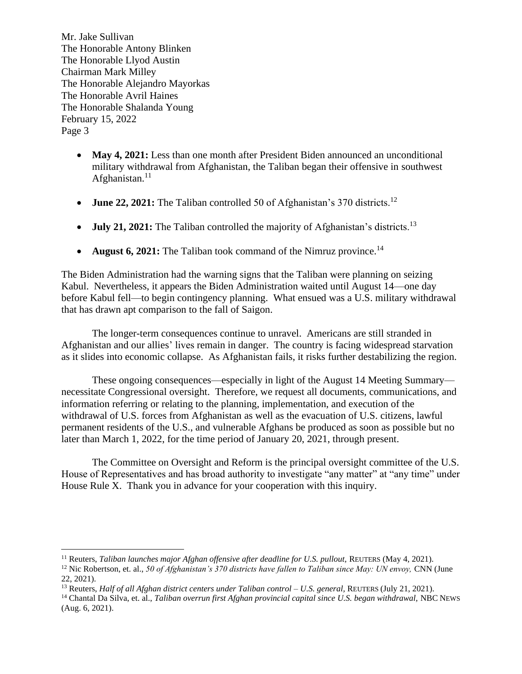Mr. Jake Sullivan The Honorable Antony Blinken The Honorable Llyod Austin Chairman Mark Milley The Honorable Alejandro Mayorkas The Honorable Avril Haines The Honorable Shalanda Young February 15, 2022 Page 3

- May 4, 2021: Less than one month after President Biden announced an unconditional military withdrawal from Afghanistan, the Taliban began their offensive in southwest Afghanistan. $11$
- **June 22, 2021:** The Taliban controlled 50 of Afghanistan's 370 districts.<sup>12</sup>
- **July 21, 2021:** The Taliban controlled the majority of Afghanistan's districts.<sup>13</sup>
- **August 6, 2021:** The Taliban took command of the Nimruz province.<sup>14</sup>

The Biden Administration had the warning signs that the Taliban were planning on seizing Kabul. Nevertheless, it appears the Biden Administration waited until August 14—one day before Kabul fell—to begin contingency planning. What ensued was a U.S. military withdrawal that has drawn apt comparison to the fall of Saigon.

The longer-term consequences continue to unravel. Americans are still stranded in Afghanistan and our allies' lives remain in danger. The country is facing widespread starvation as it slides into economic collapse. As Afghanistan fails, it risks further destabilizing the region.

These ongoing consequences—especially in light of the August 14 Meeting Summary necessitate Congressional oversight. Therefore, we request all documents, communications, and information referring or relating to the planning, implementation, and execution of the withdrawal of U.S. forces from Afghanistan as well as the evacuation of U.S. citizens, lawful permanent residents of the U.S., and vulnerable Afghans be produced as soon as possible but no later than March 1, 2022, for the time period of January 20, 2021, through present.

The Committee on Oversight and Reform is the principal oversight committee of the U.S. House of Representatives and has broad authority to investigate "any matter" at "any time" under House Rule X. Thank you in advance for your cooperation with this inquiry.

<sup>&</sup>lt;sup>11</sup> Reuters, *Taliban launches major Afghan offensive after deadline for U.S. pullout, REUTERS (May 4, 2021).* 

<sup>&</sup>lt;sup>12</sup> Nic Robertson, et. al., 50 of Afghanistan's 370 districts have fallen to Taliban since May: UN envoy, CNN (June 22, 2021).

<sup>13</sup> Reuters, *Half of all Afghan district centers under Taliban control – U.S. general,* REUTERS (July 21, 2021).

<sup>&</sup>lt;sup>14</sup> Chantal Da Silva, et. al., *Taliban overrun first Afghan provincial capital since U.S. began withdrawal*, NBC NEWS (Aug. 6, 2021).